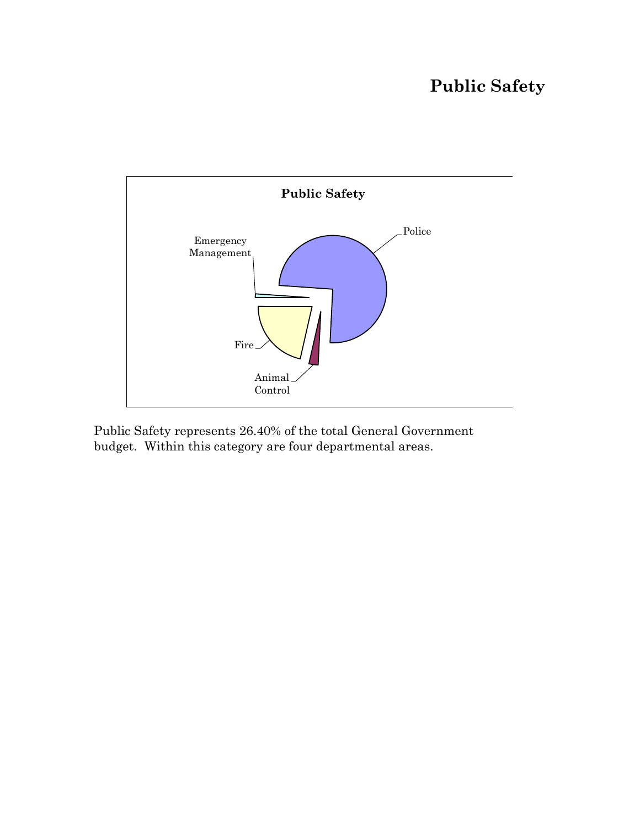# **Public Safety**



Public Safety represents 26.40% of the total General Government budget. Within this category are four departmental areas.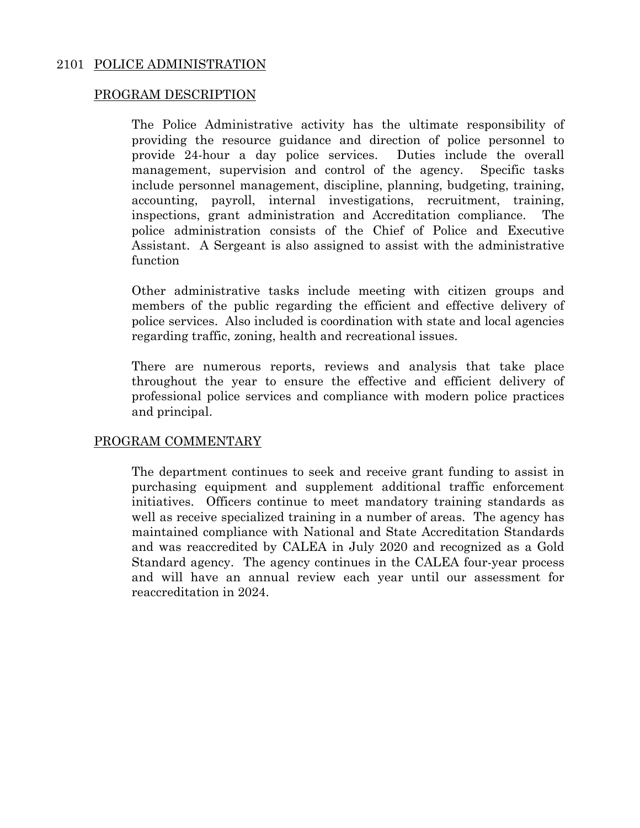### 2101 POLICE ADMINISTRATION

#### PROGRAM DESCRIPTION

The Police Administrative activity has the ultimate responsibility of providing the resource guidance and direction of police personnel to provide 24-hour a day police services. Duties include the overall management, supervision and control of the agency. Specific tasks include personnel management, discipline, planning, budgeting, training, accounting, payroll, internal investigations, recruitment, training, inspections, grant administration and Accreditation compliance. The police administration consists of the Chief of Police and Executive Assistant. A Sergeant is also assigned to assist with the administrative function

Other administrative tasks include meeting with citizen groups and members of the public regarding the efficient and effective delivery of police services. Also included is coordination with state and local agencies regarding traffic, zoning, health and recreational issues.

There are numerous reports, reviews and analysis that take place throughout the year to ensure the effective and efficient delivery of professional police services and compliance with modern police practices and principal.

#### PROGRAM COMMENTARY

The department continues to seek and receive grant funding to assist in purchasing equipment and supplement additional traffic enforcement initiatives. Officers continue to meet mandatory training standards as well as receive specialized training in a number of areas. The agency has maintained compliance with National and State Accreditation Standards and was reaccredited by CALEA in July 2020 and recognized as a Gold Standard agency. The agency continues in the CALEA four-year process and will have an annual review each year until our assessment for reaccreditation in 2024.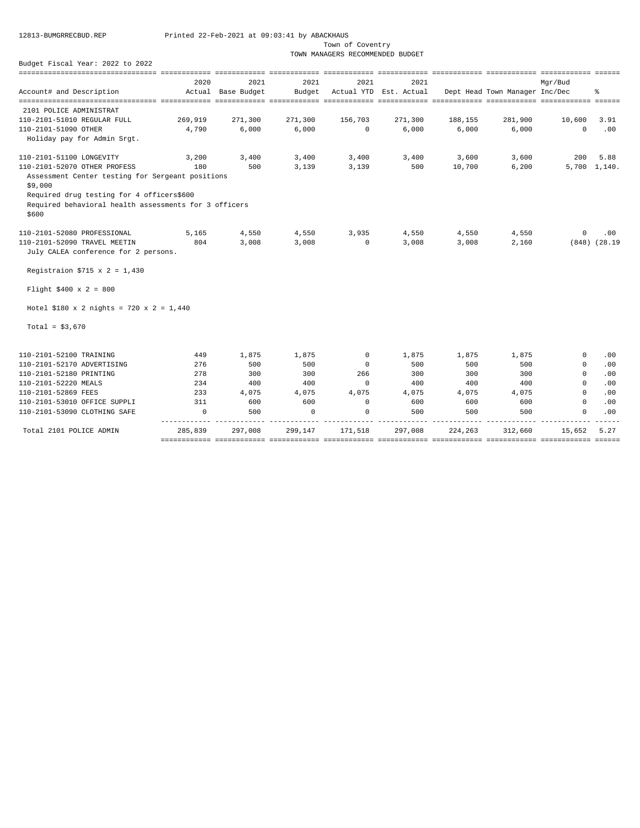Town of Coventry

TOWN MANAGERS RECOMMENDED BUDGET

|                                                                |          | ============       |             |             |                        |         | ------------ ------------ ----------- |            | $= 2222222$       |
|----------------------------------------------------------------|----------|--------------------|-------------|-------------|------------------------|---------|---------------------------------------|------------|-------------------|
|                                                                | 2020     | 2021               | 2021        | 2021        | 2021                   |         |                                       | Mar/Bud    |                   |
| Account# and Description                                       |          | Actual Base Budget | Budget      |             | Actual YTD Est. Actual |         | Dept Head Town Manager Inc/Dec        |            | 昙                 |
|                                                                |          |                    |             |             |                        |         |                                       |            |                   |
| 2101 POLICE ADMINISTRAT                                        |          |                    |             |             |                        |         |                                       |            |                   |
| 110-2101-51010 REGULAR FULL                                    | 269,919  | 271,300            | 271,300     | 156,703     | 271,300                | 188,155 | 281,900                               | 10,600     | 3.91              |
| 110-2101-51090 OTHER                                           | 4,790    | 6,000              | 6,000       | $\circ$     | 6,000                  | 6,000   | 6,000                                 | $\Omega$   | .00               |
| Holiday pay for Admin Srgt.                                    |          |                    |             |             |                        |         |                                       |            |                   |
| 110-2101-51100 LONGEVITY                                       | 3,200    | 3,400              | 3,400       | 3,400       | 3,400                  | 3,600   | 3,600                                 | 200        | 5.88              |
| 110-2101-52070 OTHER PROFESS                                   | 180      | 500                | 3,139       | 3,139       | 500                    | 10,700  | 6,200                                 |            | $5,700$ 1,140.    |
| Assessment Center testing for Sergeant positions<br>\$9,000    |          |                    |             |             |                        |         |                                       |            |                   |
| Required drug testing for 4 officers\$600                      |          |                    |             |             |                        |         |                                       |            |                   |
| Required behavioral health assessments for 3 officers<br>\$600 |          |                    |             |             |                        |         |                                       |            |                   |
| 110-2101-52080 PROFESSIONAL                                    | 5,165    | 4,550              | 4,550       | 3,935       | 4,550                  | 4,550   | 4,550                                 | $^{\circ}$ | .00               |
| 110-2101-52090 TRAVEL MEETIN                                   | 804      | 3,008              | 3,008       | $\circ$     | 3,008                  | 3,008   | 2,160                                 |            | $(848)$ $(28.19)$ |
| July CALEA conference for 2 persons.                           |          |                    |             |             |                        |         |                                       |            |                   |
| Registraion \$715 x 2 = 1,430                                  |          |                    |             |             |                        |         |                                       |            |                   |
| Flight \$400 x 2 = 800                                         |          |                    |             |             |                        |         |                                       |            |                   |
| Hotel \$180 x 2 nights = 720 x 2 = 1,440                       |          |                    |             |             |                        |         |                                       |            |                   |
| Total = $$3,670$                                               |          |                    |             |             |                        |         |                                       |            |                   |
| 110-2101-52100 TRAINING                                        | 449      | 1,875              | 1,875       | $^{\circ}$  | 1,875                  | 1,875   | 1,875                                 | $^{\circ}$ | .00               |
| 110-2101-52170 ADVERTISING                                     | 276      | 500                | 500         | $^{\circ}$  | 500                    | 500     | 500                                   | $^{\circ}$ | .00               |
| 110-2101-52180 PRINTING                                        | 278      | 300                | 300         | 266         | 300                    | 300     | 300                                   | $\Omega$   | .00               |
| 110-2101-52220 MEALS                                           | 234      | 400                | 400         | $^{\circ}$  | 400                    | 400     | 400                                   | 0          | .00               |
| 110-2101-52869 FEES                                            | 233      | 4,075              | 4,075       | 4,075       | 4,075                  | 4,075   | 4,075                                 | $\Omega$   | .00               |
| 110-2101-53010 OFFICE SUPPLI                                   | 311      | 600                | 600         | $\mathbf 0$ | 600                    | 600     | 600                                   | $\Omega$   | .00               |
| 110-2101-53090 CLOTHING SAFE                                   | $\Omega$ | 500                | $\mathbf 0$ | $\mathbf 0$ | 500                    | 500     | 500                                   | $\Omega$   | .00               |
| Total 2101 POLICE ADMIN                                        | 285,839  | 297,008            | 299,147     | 171,518     | 297,008                | 224,263 | 312,660                               | 15,652     | 5.27              |
|                                                                |          |                    |             |             |                        |         |                                       |            |                   |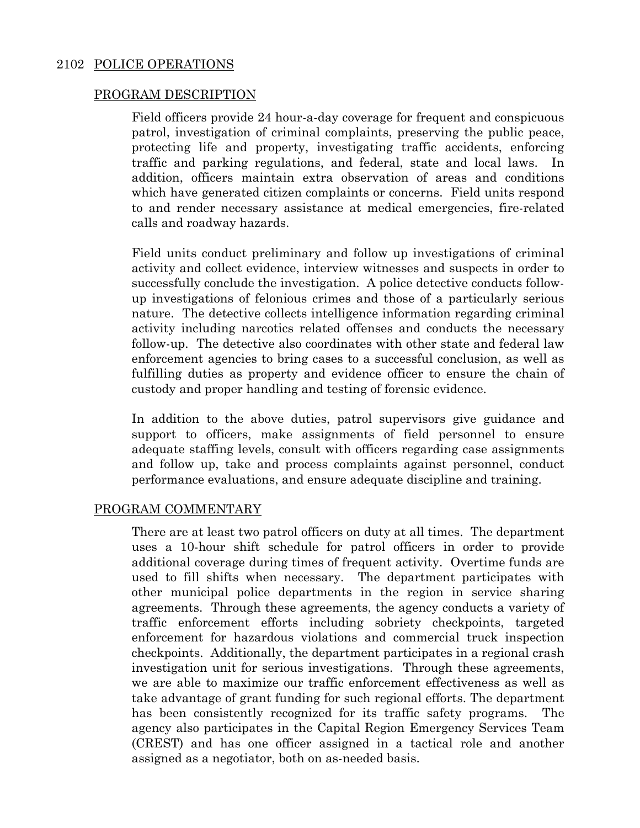#### 2102 POLICE OPERATIONS

#### PROGRAM DESCRIPTION

Field officers provide 24 hour-a-day coverage for frequent and conspicuous patrol, investigation of criminal complaints, preserving the public peace, protecting life and property, investigating traffic accidents, enforcing traffic and parking regulations, and federal, state and local laws. In addition, officers maintain extra observation of areas and conditions which have generated citizen complaints or concerns. Field units respond to and render necessary assistance at medical emergencies, fire-related calls and roadway hazards.

Field units conduct preliminary and follow up investigations of criminal activity and collect evidence, interview witnesses and suspects in order to successfully conclude the investigation. A police detective conducts followup investigations of felonious crimes and those of a particularly serious nature. The detective collects intelligence information regarding criminal activity including narcotics related offenses and conducts the necessary follow-up. The detective also coordinates with other state and federal law enforcement agencies to bring cases to a successful conclusion, as well as fulfilling duties as property and evidence officer to ensure the chain of custody and proper handling and testing of forensic evidence.

In addition to the above duties, patrol supervisors give guidance and support to officers, make assignments of field personnel to ensure adequate staffing levels, consult with officers regarding case assignments and follow up, take and process complaints against personnel, conduct performance evaluations, and ensure adequate discipline and training.

#### PROGRAM COMMENTARY

There are at least two patrol officers on duty at all times. The department uses a 10-hour shift schedule for patrol officers in order to provide additional coverage during times of frequent activity. Overtime funds are used to fill shifts when necessary. The department participates with other municipal police departments in the region in service sharing agreements. Through these agreements, the agency conducts a variety of traffic enforcement efforts including sobriety checkpoints, targeted enforcement for hazardous violations and commercial truck inspection checkpoints. Additionally, the department participates in a regional crash investigation unit for serious investigations. Through these agreements, we are able to maximize our traffic enforcement effectiveness as well as take advantage of grant funding for such regional efforts. The department has been consistently recognized for its traffic safety programs. The agency also participates in the Capital Region Emergency Services Team (CREST) and has one officer assigned in a tactical role and another assigned as a negotiator, both on as-needed basis.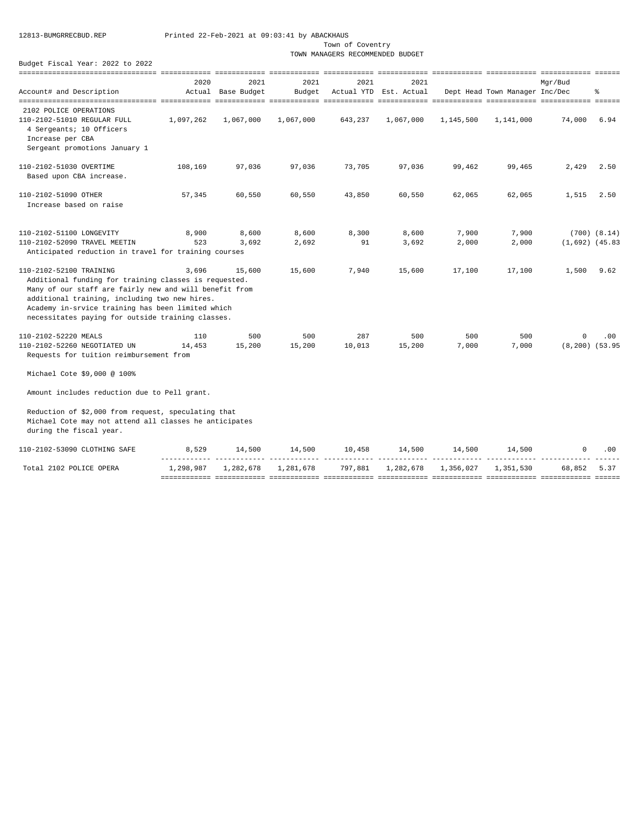Town of Coventry

TOWN MANAGERS RECOMMENDED BUDGET

| Account# and Description                                                                                                                                                                                                                                                                              | 2020      | 2021<br>Actual Base Budget | 2021<br>Budget | 2021    | 2021<br>Actual YTD Est. Actual |           | Dept Head Town Manager Inc/Dec | Mar/Bud              | နွ               |
|-------------------------------------------------------------------------------------------------------------------------------------------------------------------------------------------------------------------------------------------------------------------------------------------------------|-----------|----------------------------|----------------|---------|--------------------------------|-----------|--------------------------------|----------------------|------------------|
|                                                                                                                                                                                                                                                                                                       |           |                            |                |         |                                |           |                                |                      |                  |
| 2102 POLICE OPERATIONS                                                                                                                                                                                                                                                                                |           |                            |                |         |                                |           |                                |                      |                  |
| 110-2102-51010 REGULAR FULL<br>4 Sergeants; 10 Officers<br>Increase per CBA<br>Sergeant promotions January 1                                                                                                                                                                                          | 1,097,262 | 1,067,000                  | 1,067,000      | 643,237 | 1,067,000                      | 1,145,500 | 1,141,000                      | 74,000               | 6.94             |
| 110-2102-51030 OVERTIME                                                                                                                                                                                                                                                                               |           |                            |                |         |                                |           |                                | 2,429                | 2.50             |
| Based upon CBA increase.                                                                                                                                                                                                                                                                              | 108,169   | 97,036                     | 97,036         | 73,705  | 97,036                         | 99,462    | 99,465                         |                      |                  |
| 110-2102-51090 OTHER<br>Increase based on raise                                                                                                                                                                                                                                                       | 57,345    | 60,550                     | 60,550         | 43,850  | 60,550                         | 62,065    | 62,065                         | 1,515                | 2.50             |
| 110-2102-51100 LONGEVITY                                                                                                                                                                                                                                                                              | 8,900     | 8,600                      | 8,600          | 8,300   | 8,600                          | 7,900     | 7,900                          |                      | $(700)$ $(8.14)$ |
| 110-2102-52090 TRAVEL MEETIN<br>Anticipated reduction in travel for training courses                                                                                                                                                                                                                  | 523       | 3,692                      | 2,692          | 91      | 3,692                          | 2,000     | 2,000                          | $(1,692)$ $(45.83)$  |                  |
| 110-2102-52100 TRAINING<br>Additional funding for training classes is requested.<br>Many of our staff are fairly new and will benefit from<br>additional training, including two new hires.<br>Academy in-srvice training has been limited which<br>necessitates paying for outside training classes. | 3,696     | 15,600                     | 15,600         | 7,940   | 15,600                         | 17,100    | 17,100                         | 1,500                | 9.62             |
| 110-2102-52220 MEALS                                                                                                                                                                                                                                                                                  | 110       | 500                        | 500            | 287     | 500                            | 500       | 500                            | 0                    | .00              |
| 110-2102-52260 NEGOTIATED UN<br>Requests for tuition reimbursement from                                                                                                                                                                                                                               | 14,453    | 15,200                     | 15,200         | 10,013  | 15,200                         | 7,000     | 7,000                          | $(8, 200)$ $(53.95)$ |                  |
| Michael Cote \$9,000 @ 100%                                                                                                                                                                                                                                                                           |           |                            |                |         |                                |           |                                |                      |                  |
| Amount includes reduction due to Pell grant.                                                                                                                                                                                                                                                          |           |                            |                |         |                                |           |                                |                      |                  |
| Reduction of \$2,000 from request, speculating that<br>Michael Cote may not attend all classes he anticipates<br>during the fiscal year.                                                                                                                                                              |           |                            |                |         |                                |           |                                |                      |                  |
| 110-2102-53090 CLOTHING SAFE                                                                                                                                                                                                                                                                          | 8,529     | 14,500                     | 14,500         | 10,458  | 14,500                         | 14,500    | 14,500                         | $^{\circ}$           | .00              |
| Total 2102 POLICE OPERA                                                                                                                                                                                                                                                                               | 1,298,987 | 1,282,678                  | 1,281,678      | 797,881 | 1,282,678                      | 1,356,027 | 1,351,530                      | 68,852               | 5.37             |
|                                                                                                                                                                                                                                                                                                       |           |                            |                |         |                                |           |                                |                      |                  |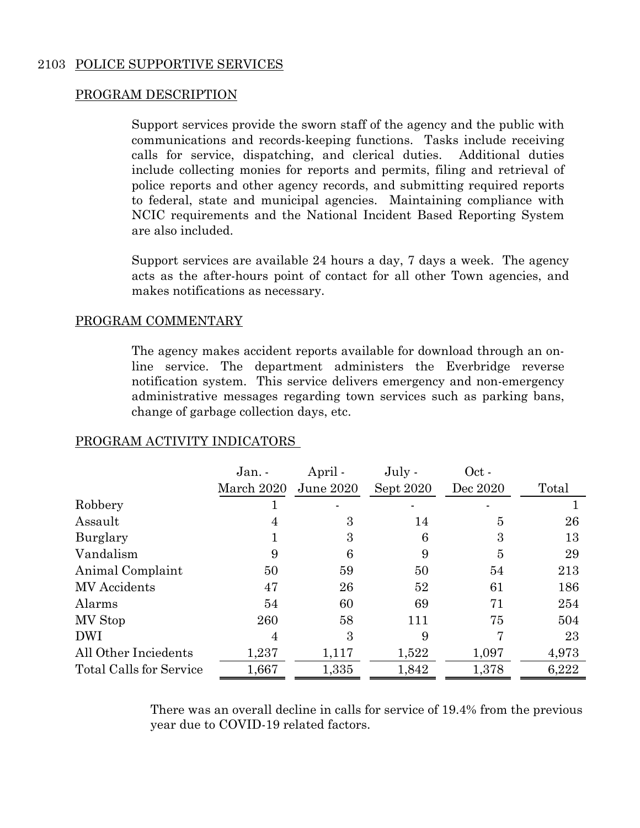### 2103 POLICE SUPPORTIVE SERVICES

### PROGRAM DESCRIPTION

Support services provide the sworn staff of the agency and the public with communications and records-keeping functions. Tasks include receiving calls for service, dispatching, and clerical duties. Additional duties include collecting monies for reports and permits, filing and retrieval of police reports and other agency records, and submitting required reports to federal, state and municipal agencies. Maintaining compliance with NCIC requirements and the National Incident Based Reporting System are also included.

Support services are available 24 hours a day, 7 days a week. The agency acts as the after-hours point of contact for all other Town agencies, and makes notifications as necessary.

### PROGRAM COMMENTARY

The agency makes accident reports available for download through an online service. The department administers the Everbridge reverse notification system. This service delivers emergency and non-emergency administrative messages regarding town services such as parking bans, change of garbage collection days, etc.

|                                | Jan. -     | April -   | $July -$  | Oct -    |       |
|--------------------------------|------------|-----------|-----------|----------|-------|
|                                | March 2020 | June 2020 | Sept 2020 | Dec 2020 | Total |
| Robbery                        |            |           |           |          |       |
| Assault                        |            | 3         | 14        | 5        | 26    |
| Burglary                       |            | 3         | 6         | 3        | 13    |
| Vandalism                      | 9          | 6         | 9         | 5        | 29    |
| Animal Complaint               | 50         | 59        | 50        | 54       | 213   |
| MV Accidents                   | 47         | 26        | 52        | 61       | 186   |
| Alarms                         | 54         | 60        | 69        | 71       | 254   |
| MV Stop                        | 260        | 58        | 111       | 75       | 504   |
| <b>DWI</b>                     |            | 3         | 9         |          | 23    |
| All Other Inciedents           | 1,237      | 1,117     | 1,522     | 1,097    | 4,973 |
| <b>Total Calls for Service</b> | 1,667      | 1,335     | 1,842     | 1,378    | 6,222 |

### PROGRAM ACTIVITY INDICATORS

There was an overall decline in calls for service of 19.4% from the previous year due to COVID-19 related factors.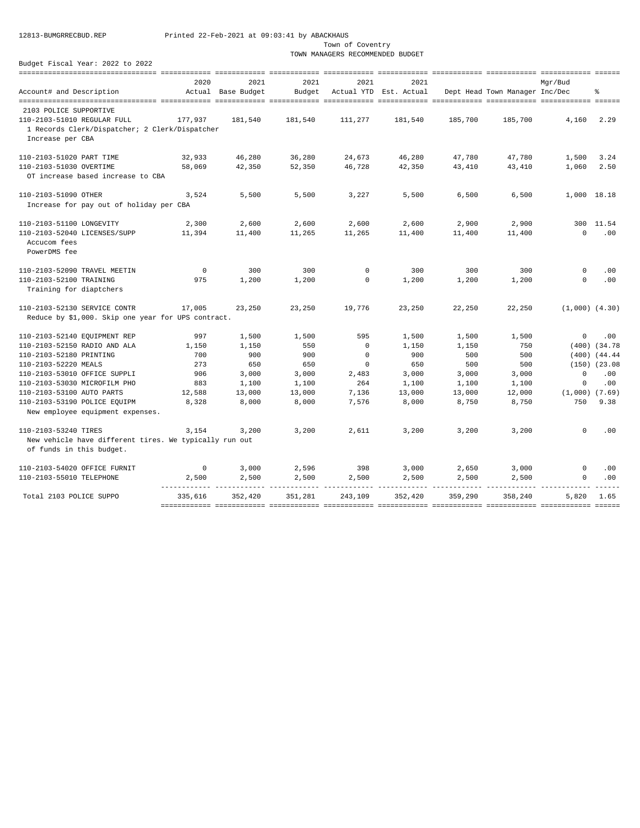Town of Coventry

TOWN MANAGERS RECOMMENDED BUDGET

|                                                                  | 2020            | 2021               | 2021    | 2021        | 2021                   |         |                                | Mqr/Bud                   |                   |
|------------------------------------------------------------------|-----------------|--------------------|---------|-------------|------------------------|---------|--------------------------------|---------------------------|-------------------|
| Account# and Description                                         |                 | Actual Base Budget | Budget  |             | Actual YTD Est. Actual |         | Dept Head Town Manager Inc/Dec |                           | ٩,                |
|                                                                  |                 |                    |         |             |                        |         |                                |                           |                   |
| 2103 POLICE SUPPORTIVE                                           |                 |                    |         |             |                        |         |                                |                           |                   |
| 110-2103-51010 REGULAR FULL                                      | 177.937         | 181,540            | 181,540 | 111,277     | 181,540                | 185,700 | 185,700                        | 4,160                     | 2.29              |
| 1 Records Clerk/Dispatcher; 2 Clerk/Dispatcher                   |                 |                    |         |             |                        |         |                                |                           |                   |
| Increase per CBA                                                 |                 |                    |         |             |                        |         |                                |                           |                   |
| 110-2103-51020 PART TIME                                         | 32,933          | 46,280             | 36,280  | 24,673      | 46,280                 | 47,780  | 47,780                         | 1,500                     | 3.24              |
| 110-2103-51030 OVERTIME                                          | 58,069          | 42,350             | 52,350  | 46,728      | 42,350                 | 43,410  | 43,410                         | 1,060                     | 2.50              |
| OT increase based increase to CBA                                |                 |                    |         |             |                        |         |                                |                           |                   |
| 110-2103-51090 OTHER                                             | 3,524           | 5,500              | 5,500   | 3,227       | 5,500                  | 6,500   | 6,500                          | 1,000 18.18               |                   |
| Increase for pay out of holiday per CBA                          |                 |                    |         |             |                        |         |                                |                           |                   |
|                                                                  |                 |                    |         |             |                        |         |                                |                           |                   |
| 110-2103-51100 LONGEVITY                                         | 2,300           | 2,600              | 2,600   | 2,600       | 2,600                  | 2,900   | 2,900                          | 300                       | 11.54             |
| 110-2103-52040 LICENSES/SUPP                                     | 11,394          | 11,400             | 11,265  | 11,265      | 11,400                 | 11,400  | 11,400                         | $\circ$                   | .00               |
| Accucom fees                                                     |                 |                    |         |             |                        |         |                                |                           |                   |
| PowerDMS fee                                                     |                 |                    |         |             |                        |         |                                |                           |                   |
| 110-2103-52090 TRAVEL MEETIN                                     | $\mathbf 0$     | 300                | 300     | $\mathbf 0$ | 300                    | 300     | 300                            | $\mathsf{O}$              | .00               |
| 110-2103-52100 TRAINING                                          | 975             | 1,200              | 1,200   | $\mathbf 0$ | 1,200                  | 1,200   | 1,200                          | $\circ$                   | .00               |
| Training for diaptchers                                          |                 |                    |         |             |                        |         |                                |                           |                   |
| 110-2103-52130 SERVICE CONTR                                     | 17,005          | 23,250             | 23,250  | 19,776      | 23,250                 | 22,250  | 22,250                         | $(1,000)$ $(4.30)$        |                   |
| Reduce by \$1,000. Skip one year for UPS contract.               |                 |                    |         |             |                        |         |                                |                           |                   |
|                                                                  |                 |                    |         |             |                        |         |                                |                           |                   |
| 110-2103-52140 EQUIPMENT REP                                     | 997             | 1,500              | 1,500   | 595         | 1,500                  | 1,500   | 1,500                          | $\mathbf 0$               | .00               |
| 110-2103-52150 RADIO AND ALA                                     | 1,150           | 1,150              | 550     | $^{\circ}$  | 1,150                  | 1,150   | 750                            |                           | $(400)$ $(34.78)$ |
| 110-2103-52180 PRINTING                                          | 700             | 900                | 900     | $\circ$     | 900                    | 500     | 500                            |                           | $(400)$ $(44.44)$ |
| 110-2103-52220 MEALS                                             | 273             | 650                | 650     | $\mathbf 0$ | 650                    | 500     | 500                            |                           | $(150)$ $(23.08)$ |
| 110-2103-53010 OFFICE SUPPLI                                     | 906             | 3,000              | 3,000   | 2,483       | 3,000                  | 3,000   | 3,000                          | $\circ$                   | .00               |
| 110-2103-53030 MICROFILM PHO                                     | 883             | 1,100              | 1,100   | 264         | 1,100                  | 1,100   | 1,100                          | $\mathbf 0$               | .00               |
| 110-2103-53100 AUTO PARTS                                        | 12,588<br>8,328 | 13,000             | 13,000  | 7,136       | 13,000                 | 13,000  | 12,000                         | $(1,000)$ $(7.69)$<br>750 | 9.38              |
| 110-2103-53190 POLICE EQUIPM<br>New employee equipment expenses. |                 | 8,000              | 8,000   | 7,576       | 8,000                  | 8,750   | 8,750                          |                           |                   |
|                                                                  |                 |                    |         |             |                        |         |                                |                           |                   |
| 110-2103-53240 TIRES                                             | 3,154           | 3.200              | 3,200   | 2,611       | 3,200                  | 3,200   | 3,200                          | $\Omega$                  | .00               |
| New vehicle have different tires. We typically run out           |                 |                    |         |             |                        |         |                                |                           |                   |
| of funds in this budget.                                         |                 |                    |         |             |                        |         |                                |                           |                   |
| 110-2103-54020 OFFICE FURNIT                                     | $^{\circ}$      | 3,000              | 2,596   | 398         | 3,000                  | 2,650   | 3,000                          | $\Omega$                  | .00               |
| 110-2103-55010 TELEPHONE                                         | 2,500           | 2,500              | 2,500   | 2,500       | 2,500                  | 2,500   | 2,500                          | $\Omega$                  | .00               |
|                                                                  |                 |                    |         |             |                        |         |                                |                           |                   |
| Total 2103 POLICE SUPPO                                          | 335,616         | 352,420            | 351,281 | 243,109     | 352,420                | 359,290 | 358,240                        | 5,820                     | 1.65              |
|                                                                  |                 |                    |         |             |                        |         |                                |                           |                   |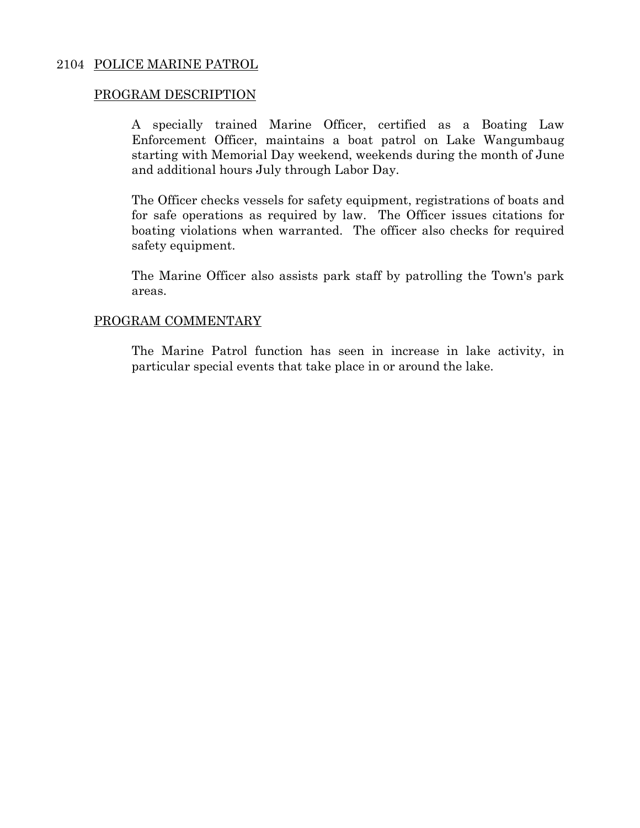### 2104 POLICE MARINE PATROL

#### PROGRAM DESCRIPTION

A specially trained Marine Officer, certified as a Boating Law Enforcement Officer, maintains a boat patrol on Lake Wangumbaug starting with Memorial Day weekend, weekends during the month of June and additional hours July through Labor Day.

The Officer checks vessels for safety equipment, registrations of boats and for safe operations as required by law. The Officer issues citations for boating violations when warranted. The officer also checks for required safety equipment.

The Marine Officer also assists park staff by patrolling the Town's park areas.

#### PROGRAM COMMENTARY

The Marine Patrol function has seen in increase in lake activity, in particular special events that take place in or around the lake.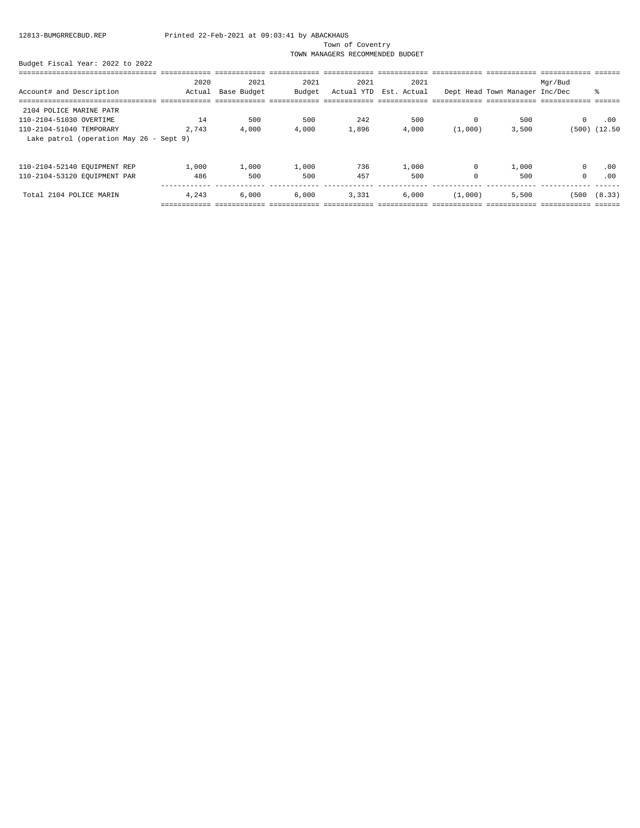Town of Coventry

TOWN MANAGERS RECOMMENDED BUDGET

|                                         | 2020   | 2021        | 2021   | 2021       | 2021        |          |                                | Mgr/Bud      |                   |
|-----------------------------------------|--------|-------------|--------|------------|-------------|----------|--------------------------------|--------------|-------------------|
| Account# and Description                | Actual | Base Budget | Budget | Actual YTD | Est. Actual |          | Dept Head Town Manager Inc/Dec |              | ៖                 |
|                                         |        |             |        |            |             |          |                                |              |                   |
| 2104 POLICE MARINE PATR                 |        |             |        |            |             |          |                                |              |                   |
| 110-2104-51030 OVERTIME                 | 14     | 500         | 500    | 242        | 500         | $\Omega$ | 500                            | $^{\circ}$   | .00               |
| 110-2104-51040 TEMPORARY                | 2,743  | 4,000       | 4,000  | 1,896      | 4,000       | (1,000)  | 3,500                          |              | $(500)$ $(12.50)$ |
| Lake patrol (operation May 26 - Sept 9) |        |             |        |            |             |          |                                |              |                   |
| 110-2104-52140 EQUIPMENT REP            | 1,000  | 1,000       | 1,000  | 736        | 1,000       | $\Omega$ | 1,000                          | $\mathbf{0}$ | .00               |
| 110-2104-53120 EQUIPMENT PAR            | 486    | 500         | 500    | 457        | 500         | $\Omega$ | 500                            | $^{\circ}$   | .00               |
| Total 2104 POLICE MARIN                 | 4.243  | 6.000       | 6.000  | 3,331      | 6.000       | (1,000)  | 5,500                          | (500         | (8.33)            |
|                                         |        |             |        |            |             |          |                                |              |                   |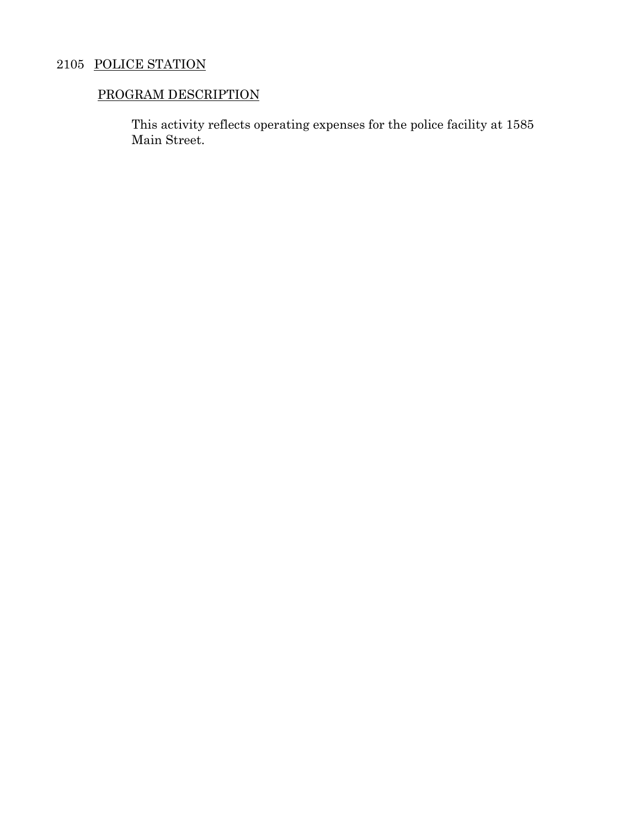## 2105 POLICE STATION

## PROGRAM DESCRIPTION

This activity reflects operating expenses for the police facility at 1585 Main Street.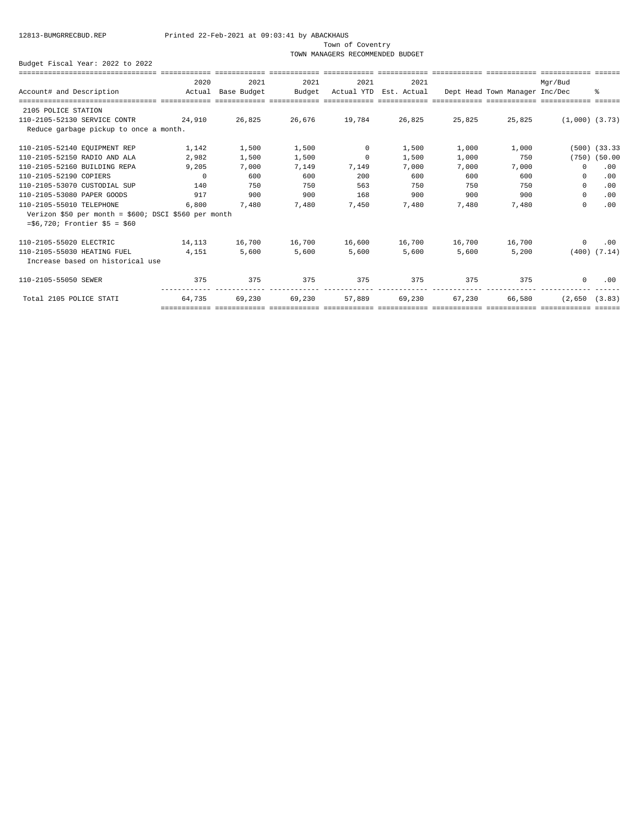Town of Coventry

TOWN MANAGERS RECOMMENDED BUDGET

|                                                                                                                  | 2020            | 2021   | 2021                                                                                                      | 2021              | 2021                                                  |               |               | Mar/Bud               |                   |
|------------------------------------------------------------------------------------------------------------------|-----------------|--------|-----------------------------------------------------------------------------------------------------------|-------------------|-------------------------------------------------------|---------------|---------------|-----------------------|-------------------|
| Account# and Description The Motual Base Budget                                                                  |                 |        | Budget                                                                                                    |                   | Actual YTD Est. Actual Dept Head Town Manager Inc/Dec |               |               |                       | ∻                 |
| stilisisisisisisisisisisisisi sisisisisi sisisisisi sisisisisisi sisisisisisi sisisisisi sisisisisi sisisisisisi |                 |        |                                                                                                           |                   |                                                       |               |               |                       |                   |
| 2105 POLICE STATION                                                                                              |                 |        |                                                                                                           |                   |                                                       |               |               |                       |                   |
| 110-2105-52130 SERVICE CONTR 24,910                                                                              |                 | 26,825 | 26,676                                                                                                    | 19,784 26,825     |                                                       | 25,825        |               | 25,825 (1,000) (3.73) |                   |
| Reduce garbage pickup to once a month.                                                                           |                 |        |                                                                                                           |                   |                                                       |               |               |                       |                   |
| 110-2105-52140 EQUIPMENT REP                                                                                     | 1.142           | 1,500  | 1,500                                                                                                     | $\sim$ 0 $\sim$ 0 | 1,500                                                 | 1,000         | 1,000         |                       | $(500)$ $(33.33)$ |
| 110-2105-52150 RADIO AND ALA                                                                                     | 2,982           | 1,500  | 1,500                                                                                                     | $\sim$ 0          | 1,500                                                 | 1,000         | 750           |                       | $(750)$ $(50.00)$ |
| 110-2105-52160 BUILDING REPA                                                                                     | 9.205           | 7,000  |                                                                                                           | 7,149 7,149       | 7,000                                                 | 7,000         | 7,000         | $\Omega$              | .00               |
| 110-2105-52190 COPIERS                                                                                           | $\sim$ 0        | 600    | 600                                                                                                       | 200               | 600                                                   | 600           | 600           | $\Omega$              | .00               |
| 110-2105-53070 CUSTODIAL SUP                                                                                     | 140             | 750    | 750                                                                                                       | 563               | 750                                                   | 750           | 750           | $\circ$               | .00               |
| 110-2105-53080 PAPER GOODS                                                                                       | 917             | 900    | 900                                                                                                       | 168               | 900                                                   | 900           | 900           | $\circ$               | .00               |
| 110-2105-55010 TELEPHONE                                                                                         | 6,800           | 7,480  | 7,480                                                                                                     | 7,450             | 7,480                                                 | 7,480         | 7,480         | $\Omega$              | .00               |
| Verizon \$50 per month = \$600; DSCI \$560 per month                                                             |                 |        |                                                                                                           |                   |                                                       |               |               |                       |                   |
| $= $6,720$ ; Frontier $$5 = $60$                                                                                 |                 |        |                                                                                                           |                   |                                                       |               |               |                       |                   |
| 110-2105-55020 ELECTRIC                                                                                          | 14, 113 16, 700 |        |                                                                                                           |                   | 16,700 16,600 16,700                                  |               | 16,700 16,700 | $\overline{0}$        | .00               |
| 110-2105-55030 HEATING FUEL                                                                                      | 4,151           | 5,600  | 5,600                                                                                                     | 5,600             | 5,600                                                 | 5,600         | 5,200         |                       | $(400)$ $(7.14)$  |
| Increase based on historical use                                                                                 |                 |        |                                                                                                           |                   |                                                       |               |               |                       |                   |
| 110-2105-55050 SEWER                                                                                             | 375             | 375    | 375                                                                                                       | 375               | 375                                                   | 375           | 375           | $\overline{0}$        | .00               |
| Total 2105 POLICE STATI                                                                                          | 64.735          | 69,230 |                                                                                                           | 69,230 57,889     |                                                       | 69,230 67,230 | 66,580        | (2.650 (3.83)         |                   |
|                                                                                                                  |                 |        | accontinuo sititititina aintininina ititititina titititinina ititititinin titititinin tititititina tititi |                   |                                                       |               |               |                       |                   |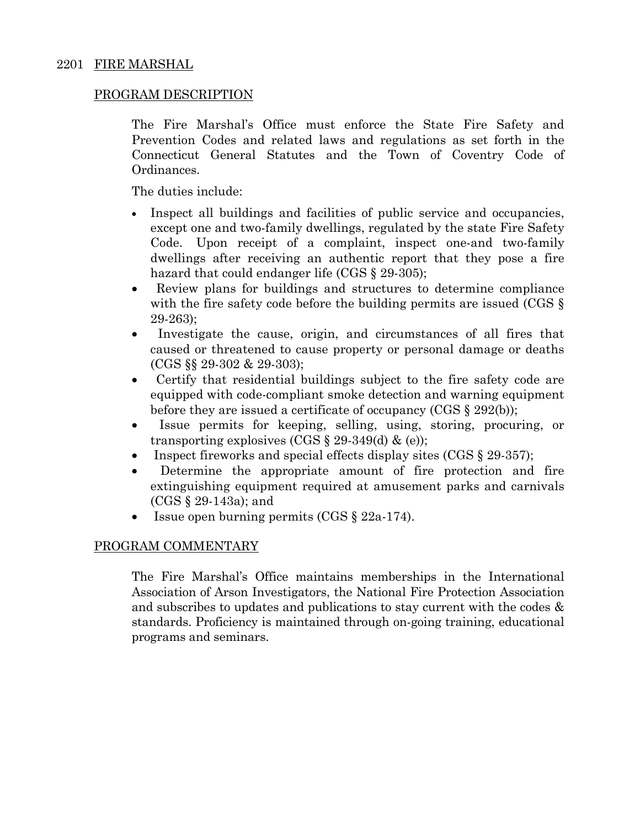### PROGRAM DESCRIPTION

The Fire Marshal's Office must enforce the State Fire Safety and Prevention Codes and related laws and regulations as set forth in the Connecticut General Statutes and the Town of Coventry Code of Ordinances.

The duties include:

- Inspect all buildings and facilities of public service and occupancies, except one and two-family dwellings, regulated by the state Fire Safety Code. Upon receipt of a complaint, inspect one-and two-family dwellings after receiving an authentic report that they pose a fire hazard that could endanger life (CGS § 29-305);
- Review plans for buildings and structures to determine compliance with the fire safety code before the building permits are issued (CGS  $\S$ ) 29-263);
- Investigate the cause, origin, and circumstances of all fires that caused or threatened to cause property or personal damage or deaths (CGS §§ 29-302 & 29-303);
- Certify that residential buildings subject to the fire safety code are equipped with code-compliant smoke detection and warning equipment before they are issued a certificate of occupancy  $(CGS \S 292(b))$ ;
- Issue permits for keeping, selling, using, storing, procuring, or transporting explosives  $(CGS \S 29-349(d) \& (e))$ ;
- Inspect fireworks and special effects display sites  $(CGS \t{29-357})$ ;
- Determine the appropriate amount of fire protection and fire extinguishing equipment required at amusement parks and carnivals (CGS § 29-143a); and
- Issue open burning permits (CGS § 22a-174).

### PROGRAM COMMENTARY

The Fire Marshal's Office maintains memberships in the International Association of Arson Investigators, the National Fire Protection Association and subscribes to updates and publications to stay current with the codes & standards. Proficiency is maintained through on-going training, educational programs and seminars.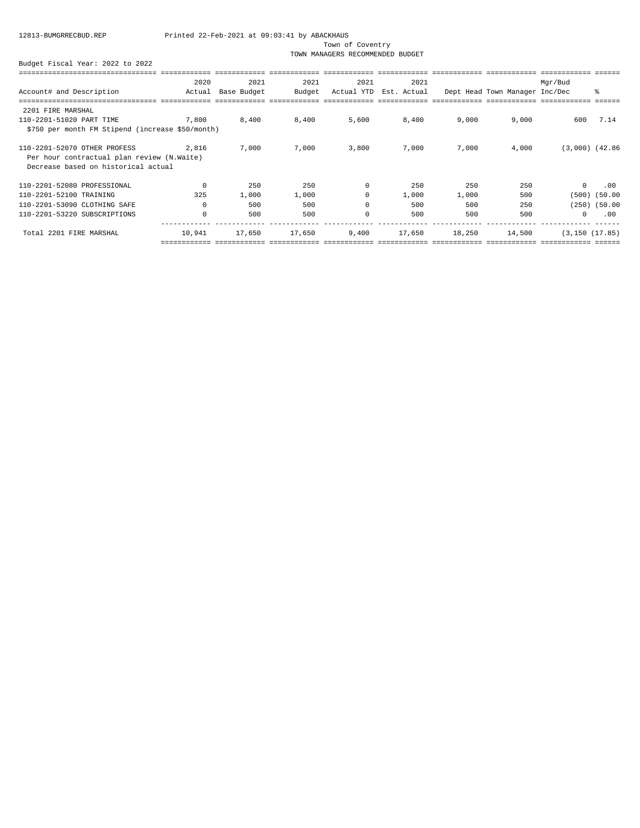Town of Coventry

TOWN MANAGERS RECOMMENDED BUDGET

|                                                                                                                   | 2020     | 2021        | 2021   | 2021       | 2021        |        |                                | Mqr/Bud             |                   |
|-------------------------------------------------------------------------------------------------------------------|----------|-------------|--------|------------|-------------|--------|--------------------------------|---------------------|-------------------|
| Account# and Description                                                                                          | Actual   | Base Budget | Budget | Actual YTD | Est. Actual |        | Dept Head Town Manager Inc/Dec |                     | ៖                 |
|                                                                                                                   |          |             |        |            |             |        |                                |                     |                   |
| 2201 FIRE MARSHAL                                                                                                 |          |             |        |            |             |        |                                |                     |                   |
| 110-2201-51020 PART TIME                                                                                          | 7,800    | 8,400       | 8,400  | 5,600      | 8,400       | 9,000  | 9,000                          | 600                 | 7.14              |
| \$750 per month FM Stipend (increase \$50/month)                                                                  |          |             |        |            |             |        |                                |                     |                   |
| 110-2201-52070 OTHER PROFESS<br>Per hour contractual plan review (N.Waite)<br>Decrease based on historical actual | 2,816    | 7,000       | 7,000  | 3,800      | 7,000       | 7,000  | 4,000                          | $(3,000)$ $(42.86)$ |                   |
|                                                                                                                   |          |             |        |            |             |        |                                |                     |                   |
| 110-2201-52080 PROFESSIONAL                                                                                       | $\Omega$ | 250         | 250    | $\Omega$   | 250         | 250    | 250                            | $\Omega$            | .00               |
| 110-2201-52100 TRAINING                                                                                           | 325      | 1,000       | 1,000  | $\Omega$   | 1,000       | 1,000  | 500                            | (500)               | (50.00)           |
| 110-2201-53090 CLOTHING SAFE                                                                                      |          | 500         | 500    | $\Omega$   | 500         | 500    | 250                            |                     | $(250)$ $(50.00)$ |
| 110-2201-53220 SUBSCRIPTIONS                                                                                      | $\Omega$ | 500         | 500    | $\Omega$   | 500         | 500    | 500                            | $\Omega$            | .00               |
| Total 2201 FIRE MARSHAL                                                                                           | 10,941   | 17,650      | 17,650 | 9,400      | 17,650      | 18,250 | 14,500                         | (3, 150 (17.85))    |                   |
|                                                                                                                   |          |             |        |            |             |        |                                |                     |                   |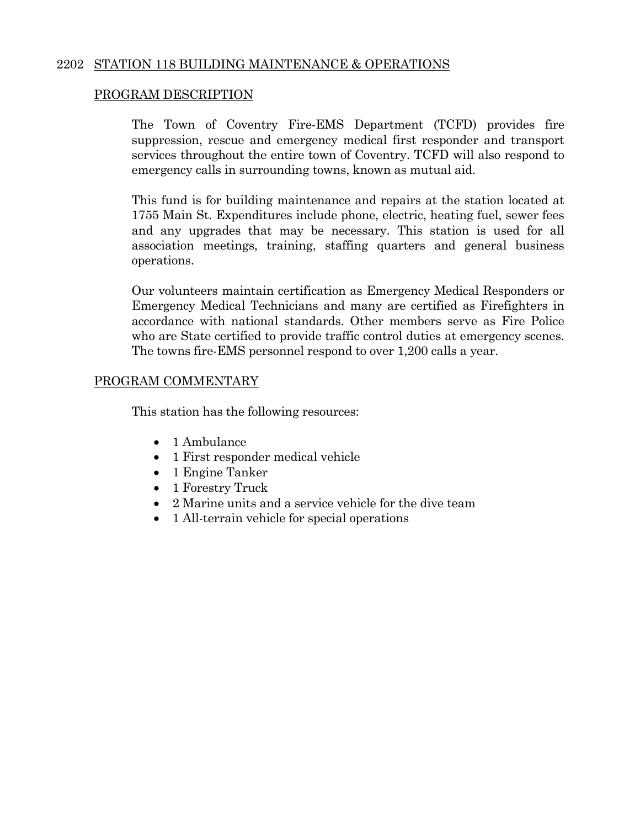### 2202 STATION 118 BUILDING MAINTENANCE & OPERATIONS

### PROGRAM DESCRIPTION

The Town of Coventry Fire-EMS Department (TCFD) provides fire suppression, rescue and emergency medical first responder and transport services throughout the entire town of Coventry. TCFD will also respond to emergency calls in surrounding towns, known as mutual aid.

 This fund is for building maintenance and repairs at the station located at 1755 Main St. Expenditures include phone, electric, heating fuel, sewer fees and any upgrades that may be necessary. This station is used for all association meetings, training, staffing quarters and general business operations.

Our volunteers maintain certification as Emergency Medical Responders or Emergency Medical Technicians and many are certified as Firefighters in accordance with national standards. Other members serve as Fire Police who are State certified to provide traffic control duties at emergency scenes. The towns fire-EMS personnel respond to over 1,200 calls a year.

#### PROGRAM COMMENTARY

This station has the following resources:

- 1 Ambulance
- 1 First responder medical vehicle
- 1 Engine Tanker
- 1 Forestry Truck
- 2 Marine units and a service vehicle for the dive team
- 1 All-terrain vehicle for special operations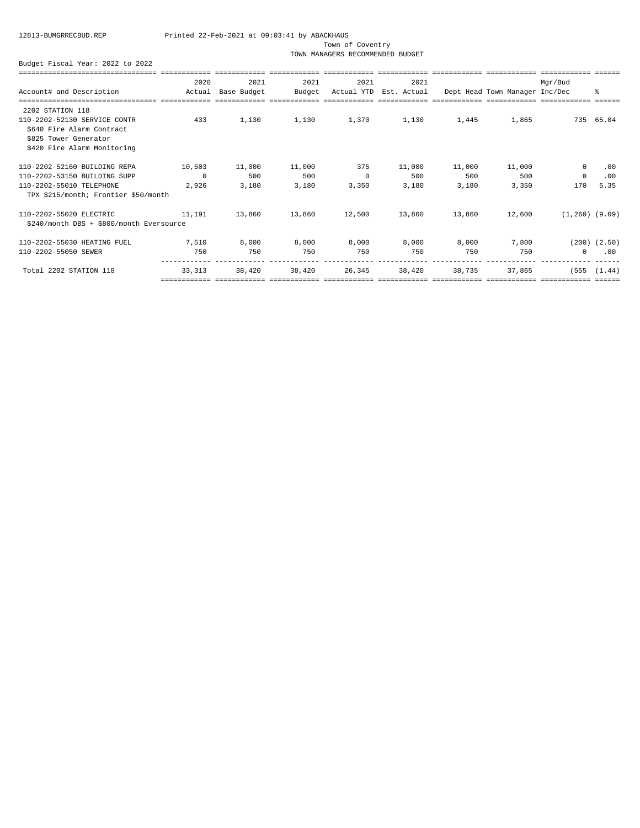Town of Coventry

TOWN MANAGERS RECOMMENDED BUDGET

|                                          | 2020     | 2021        | 2021   | 2021       | 2021        |        |                                | Mgr/Bud             |                  |
|------------------------------------------|----------|-------------|--------|------------|-------------|--------|--------------------------------|---------------------|------------------|
| Account# and Description                 | Actual   | Base Budget | Budget | Actual YTD | Est. Actual |        | Dept Head Town Manager Inc/Dec |                     | ి                |
|                                          |          |             |        |            |             |        |                                |                     |                  |
| 2202 STATION 118                         |          |             |        |            |             |        |                                |                     |                  |
| 110-2202-52130 SERVICE CONTR             | 433      | 1,130       | 1,130  | 1,370      | 1,130       | 1,445  | 1,865                          |                     | 735 65.04        |
| \$640 Fire Alarm Contract                |          |             |        |            |             |        |                                |                     |                  |
| \$825 Tower Generator                    |          |             |        |            |             |        |                                |                     |                  |
| \$420 Fire Alarm Monitoring              |          |             |        |            |             |        |                                |                     |                  |
| 110-2202-52160 BUILDING REPA             | 10,503   | 11,000      | 11,000 | 375        | 11,000      | 11,000 | 11,000                         | 0                   | .00              |
| 110-2202-53150 BUILDING SUPP             | $\Omega$ | 500         | 500    | 0          | 500         | 500    | 500                            | $\mathbf 0$         | .00              |
| 110-2202-55010 TELEPHONE                 | 2,926    | 3,180       | 3,180  | 3,350      | 3,180       | 3,180  | 3,350                          | 170                 | 5.35             |
| TPX \$215/month; Frontier \$50/month     |          |             |        |            |             |        |                                |                     |                  |
| 110-2202-55020 ELECTRIC                  | 11,191   | 13,860      | 13,860 | 12,500     | 13,860      | 13,860 | 12,600                         | $(1, 260)$ $(9.09)$ |                  |
| \$240/month DBS + \$800/month Eversource |          |             |        |            |             |        |                                |                     |                  |
| 110-2202-55030 HEATING FUEL              | 7,510    | 8,000       | 8,000  | 8,000      | 8,000       | 8,000  | 7,800                          |                     | $(200)$ $(2.50)$ |
| 110-2202-55050 SEWER                     | 750      | 750         | 750    | 750        | 750         | 750    | 750                            | $^{\circ}$          | .00              |
| Total 2202 STATION 118                   | 33, 313  | 38,420      | 38,420 | 26,345     | 38,420      | 38,735 | 37,865                         | (555                | (1.44)           |
|                                          |          |             |        |            |             |        |                                |                     |                  |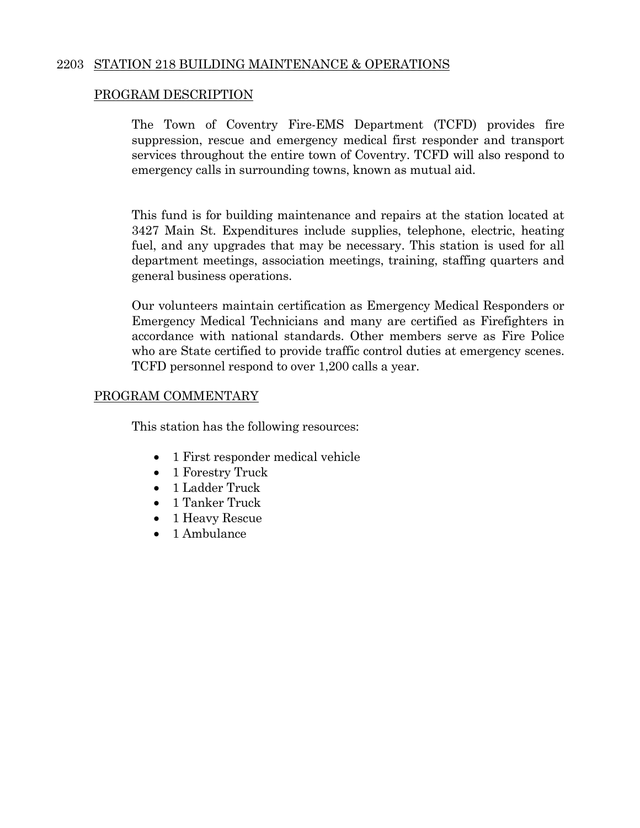### 2203 STATION 218 BUILDING MAINTENANCE & OPERATIONS

### PROGRAM DESCRIPTION

The Town of Coventry Fire-EMS Department (TCFD) provides fire suppression, rescue and emergency medical first responder and transport services throughout the entire town of Coventry. TCFD will also respond to emergency calls in surrounding towns, known as mutual aid.

This fund is for building maintenance and repairs at the station located at 3427 Main St. Expenditures include supplies, telephone, electric, heating fuel, and any upgrades that may be necessary. This station is used for all department meetings, association meetings, training, staffing quarters and general business operations.

Our volunteers maintain certification as Emergency Medical Responders or Emergency Medical Technicians and many are certified as Firefighters in accordance with national standards. Other members serve as Fire Police who are State certified to provide traffic control duties at emergency scenes. TCFD personnel respond to over 1,200 calls a year.

#### PROGRAM COMMENTARY

This station has the following resources:

- 1 First responder medical vehicle
- 1 Forestry Truck
- 1 Ladder Truck
- 1 Tanker Truck
- 1 Heavy Rescue
- 1 Ambulance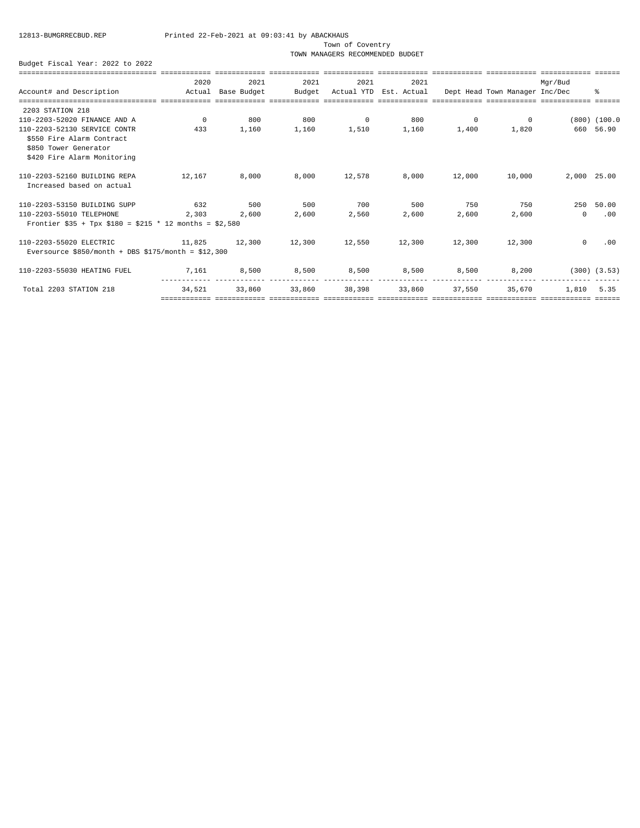Town of Coventry

TOWN MANAGERS RECOMMENDED BUDGET

|                                                         | 2020     | 2021        | 2021   | 2021     | 2021                   |          |                                | Mgr/Bud     |                  |
|---------------------------------------------------------|----------|-------------|--------|----------|------------------------|----------|--------------------------------|-------------|------------------|
| Account# and Description                                | Actual   | Base Budget | Budget |          | Actual YTD Est. Actual |          | Dept Head Town Manager Inc/Dec |             | ి                |
|                                                         |          |             |        |          |                        |          |                                |             |                  |
| 2203 STATION 218                                        |          |             |        |          |                        |          |                                |             |                  |
| 110-2203-52020 FINANCE AND A                            | $\Omega$ | 800         | 800    | $\Omega$ | 800                    | $\Omega$ | $\circ$                        |             | $(800)$ $(100.0$ |
| 110-2203-52130 SERVICE CONTR                            | 433      | 1,160       | 1,160  | 1,510    | 1,160                  | 1,400    | 1,820                          |             | 660 56.90        |
| \$550 Fire Alarm Contract                               |          |             |        |          |                        |          |                                |             |                  |
| \$850 Tower Generator                                   |          |             |        |          |                        |          |                                |             |                  |
| \$420 Fire Alarm Monitoring                             |          |             |        |          |                        |          |                                |             |                  |
| 110-2203-52160 BUILDING REPA                            | 12,167   | 8,000       | 8,000  | 12,578   | 8,000                  | 12,000   | 10,000                         | 2,000 25.00 |                  |
| Increased based on actual                               |          |             |        |          |                        |          |                                |             |                  |
| 110-2203-53150 BUILDING SUPP                            | 632      | 500         | 500    | 700      | 500                    | 750      | 750                            | 250         | 50.00            |
| 110-2203-55010 TELEPHONE                                | 2,303    | 2,600       | 2,600  | 2,560    | 2,600                  | 2,600    | 2,600                          | $\Omega$    | .00              |
| Frontier \$35 + Tpx \$180 = \$215 * 12 months = \$2,580 |          |             |        |          |                        |          |                                |             |                  |
| 110-2203-55020 ELECTRIC                                 | 11,825   | 12,300      | 12,300 | 12,550   | 12,300                 | 12,300   | 12,300                         | $\Omega$    | .00              |
| Eversource $$850/month + DBS $175/month = $12,300$      |          |             |        |          |                        |          |                                |             |                  |
| 110-2203-55030 HEATING FUEL                             | 7,161    | 8,500       | 8,500  | 8,500    | 8,500                  | 8,500    | 8,200                          |             | $(300)$ $(3.53)$ |
| Total 2203 STATION 218                                  | 34,521   | 33,860      | 33,860 | 38,398   | 33,860                 | 37,550   | 35,670                         | 1,810       | 5.35             |
|                                                         |          |             |        |          |                        |          |                                |             |                  |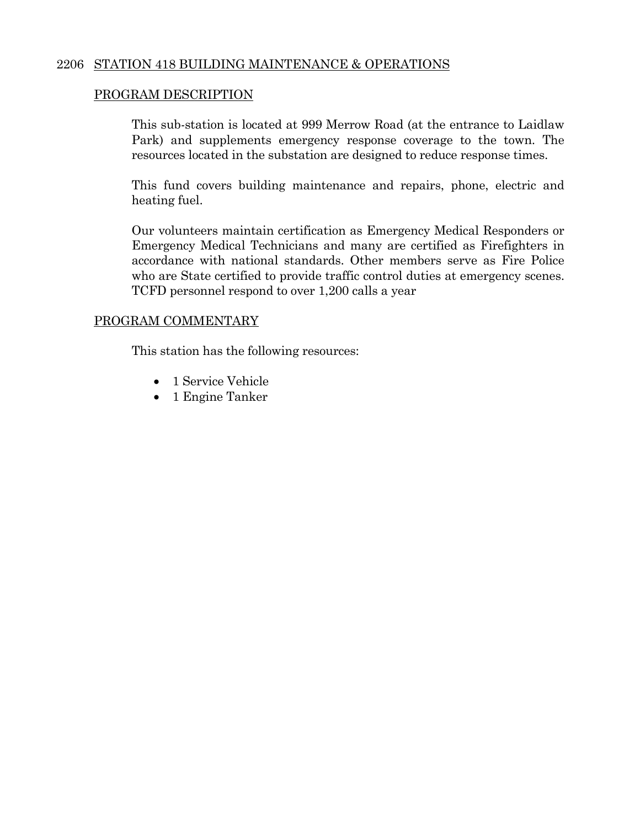### 2206 STATION 418 BUILDING MAINTENANCE & OPERATIONS

### PROGRAM DESCRIPTION

 This sub-station is located at 999 Merrow Road (at the entrance to Laidlaw Park) and supplements emergency response coverage to the town. The resources located in the substation are designed to reduce response times.

 This fund covers building maintenance and repairs, phone, electric and heating fuel.

 Our volunteers maintain certification as Emergency Medical Responders or Emergency Medical Technicians and many are certified as Firefighters in accordance with national standards. Other members serve as Fire Police who are State certified to provide traffic control duties at emergency scenes. TCFD personnel respond to over 1,200 calls a year

#### PROGRAM COMMENTARY

This station has the following resources:

- 1 Service Vehicle
- 1 Engine Tanker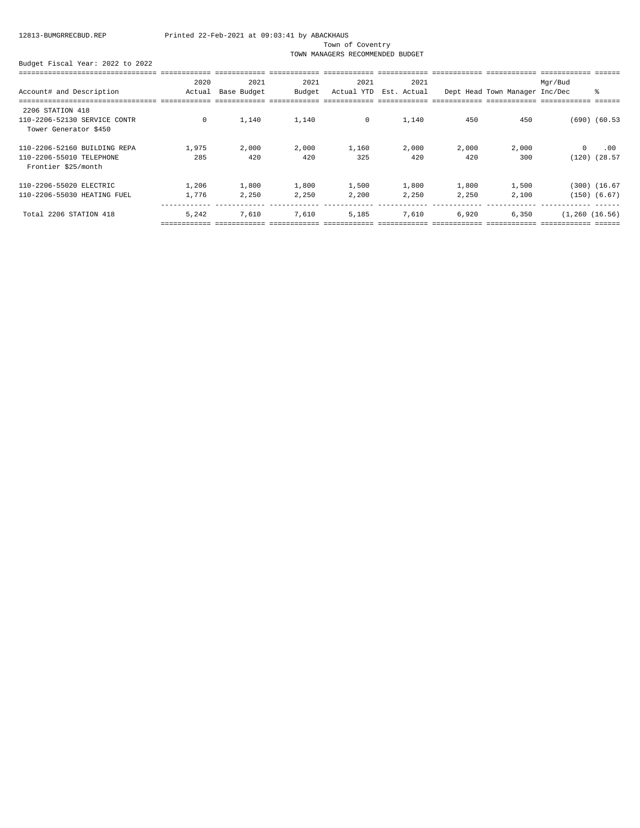Town of Coventry

TOWN MANAGERS RECOMMENDED BUDGET

|                              | 2020   | 2021        | 2021   | 2021       | 2021        |       |                                | Mgr/Bud          |                   |
|------------------------------|--------|-------------|--------|------------|-------------|-------|--------------------------------|------------------|-------------------|
| Account# and Description     | Actual | Base Budget | Budget | Actual YTD | Est. Actual |       | Dept Head Town Manager Inc/Dec |                  | ႜ                 |
|                              |        |             |        |            |             |       |                                |                  |                   |
| 2206 STATION 418             |        |             |        |            |             |       |                                |                  |                   |
| 110-2206-52130 SERVICE CONTR | 0      | 1,140       | 1,140  | $\circ$    | 1,140       | 450   | 450                            |                  | $(690)$ $(60.53)$ |
| Tower Generator \$450        |        |             |        |            |             |       |                                |                  |                   |
| 110-2206-52160 BUILDING REPA | 1,975  | 2,000       | 2,000  | 1,160      | 2,000       | 2,000 | 2,000                          | $\mathbf 0$      | .00               |
| 110-2206-55010 TELEPHONE     | 285    | 420         | 420    | 325        | 420         | 420   | 300                            | (120)            | (28.57)           |
| Frontier \$25/month          |        |             |        |            |             |       |                                |                  |                   |
| 110-2206-55020 ELECTRIC      | 1,206  | 1,800       | 1,800  | 1,500      | 1,800       | 1,800 | 1,500                          |                  | (300) (16.67      |
| 110-2206-55030 HEATING FUEL  | 1,776  | 2,250       | 2,250  | 2,200      | 2,250       | 2,250 | 2,100                          |                  | $(150)$ $(6.67)$  |
| Total 2206 STATION 418       | 5,242  | 7,610       | 7,610  | 5,185      | 7,610       | 6,920 | 6,350                          | (1, 260 (16.56)) |                   |
|                              |        |             |        |            |             |       |                                |                  |                   |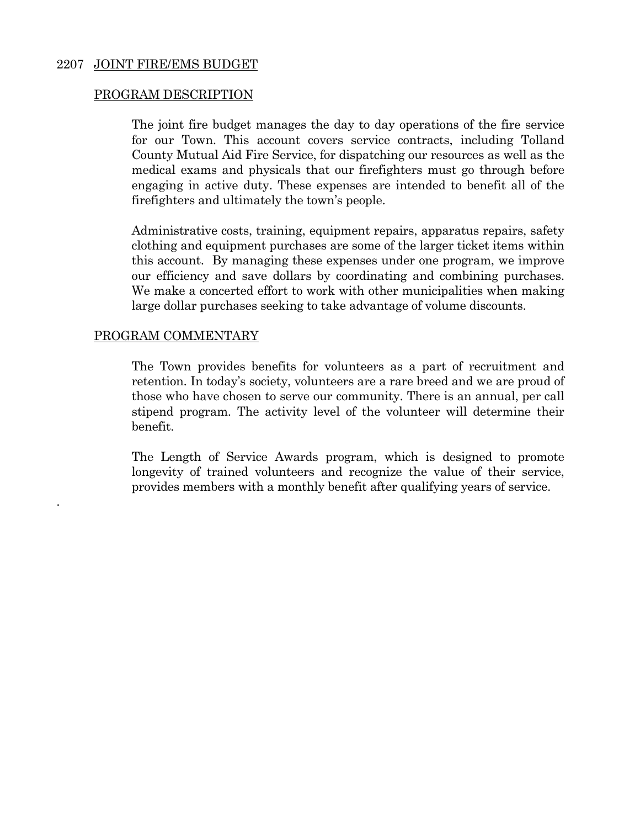#### 2207 JOINT FIRE/EMS BUDGET

#### PROGRAM DESCRIPTION

 The joint fire budget manages the day to day operations of the fire service for our Town. This account covers service contracts, including Tolland County Mutual Aid Fire Service, for dispatching our resources as well as the medical exams and physicals that our firefighters must go through before engaging in active duty. These expenses are intended to benefit all of the firefighters and ultimately the town's people.

 Administrative costs, training, equipment repairs, apparatus repairs, safety clothing and equipment purchases are some of the larger ticket items within this account. By managing these expenses under one program, we improve our efficiency and save dollars by coordinating and combining purchases. We make a concerted effort to work with other municipalities when making large dollar purchases seeking to take advantage of volume discounts.

#### PROGRAM COMMENTARY

.

 The Town provides benefits for volunteers as a part of recruitment and retention. In today's society, volunteers are a rare breed and we are proud of those who have chosen to serve our community. There is an annual, per call stipend program. The activity level of the volunteer will determine their benefit.

 The Length of Service Awards program, which is designed to promote longevity of trained volunteers and recognize the value of their service, provides members with a monthly benefit after qualifying years of service.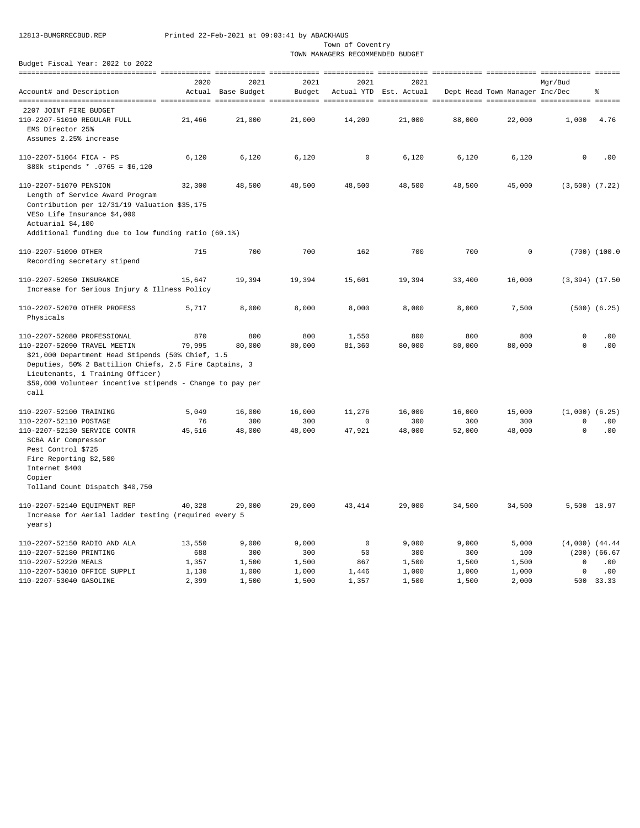Town of Coventry

TOWN MANAGERS RECOMMENDED BUDGET

|                                                           | 2020   | 2021        | 2021   | 2021        | 2021                   |        |                                | Mgr/Bud              |                   |
|-----------------------------------------------------------|--------|-------------|--------|-------------|------------------------|--------|--------------------------------|----------------------|-------------------|
| Account# and Description                                  | Actual | Base Budget | Budget |             | Actual YTD Est. Actual |        | Dept Head Town Manager Inc/Dec |                      | န္                |
|                                                           |        |             |        |             |                        |        |                                |                      |                   |
| 2207 JOINT FIRE BUDGET                                    |        |             |        |             |                        |        |                                |                      |                   |
| 110-2207-51010 REGULAR FULL<br>EMS Director 25%           | 21,466 | 21,000      | 21,000 | 14,209      | 21,000                 | 88,000 | 22,000                         | 1,000                | 4.76              |
| Assumes 2.25% increase                                    |        |             |        |             |                        |        |                                |                      |                   |
|                                                           |        |             |        |             |                        |        |                                |                      |                   |
| 110-2207-51064 FICA - PS                                  | 6,120  | 6,120       | 6,120  | $\mathsf 0$ | 6,120                  | 6,120  | 6,120                          | $\mathsf{O}$         | .00               |
| $$80k$ stipends * .0765 = \$6,120                         |        |             |        |             |                        |        |                                |                      |                   |
| 110-2207-51070 PENSION                                    | 32,300 | 48,500      | 48,500 | 48,500      | 48,500                 | 48,500 | 45,000                         | $(3, 500)$ $(7.22)$  |                   |
| Length of Service Award Program                           |        |             |        |             |                        |        |                                |                      |                   |
| Contribution per 12/31/19 Valuation \$35,175              |        |             |        |             |                        |        |                                |                      |                   |
| VESo Life Insurance \$4,000                               |        |             |        |             |                        |        |                                |                      |                   |
| Actuarial \$4,100                                         |        |             |        |             |                        |        |                                |                      |                   |
| Additional funding due to low funding ratio (60.1%)       |        |             |        |             |                        |        |                                |                      |                   |
| 110-2207-51090 OTHER                                      | 715    | 700         | 700    | 162         | 700                    | 700    | $\mathbf 0$                    |                      | $(700)$ $(100.0$  |
| Recording secretary stipend                               |        |             |        |             |                        |        |                                |                      |                   |
|                                                           |        |             |        |             |                        |        |                                |                      |                   |
| 110-2207-52050 INSURANCE                                  | 15,647 | 19,394      | 19,394 | 15,601      | 19,394                 | 33,400 | 16,000                         | $(3, 394)$ $(17.50)$ |                   |
| Increase for Serious Injury & Illness Policy              |        |             |        |             |                        |        |                                |                      |                   |
|                                                           |        |             |        |             |                        |        |                                |                      |                   |
| 110-2207-52070 OTHER PROFESS                              | 5,717  | 8,000       | 8,000  | 8,000       | 8,000                  | 8,000  | 7,500                          |                      | $(500)$ $(6.25)$  |
| Physicals                                                 |        |             |        |             |                        |        |                                |                      |                   |
| 110-2207-52080 PROFESSIONAL                               | 870    | 800         | 800    | 1,550       | 800                    | 800    | 800                            | $\mathbf 0$          | .00               |
| 110-2207-52090 TRAVEL MEETIN                              | 79,995 | 80,000      | 80,000 | 81,360      | 80,000                 | 80,000 | 80,000                         | $\circ$              | .00               |
| \$21,000 Department Head Stipends (50% Chief, 1.5         |        |             |        |             |                        |        |                                |                      |                   |
| Deputies, 50% 2 Battilion Chiefs, 2.5 Fire Captains, 3    |        |             |        |             |                        |        |                                |                      |                   |
| Lieutenants, 1 Training Officer)                          |        |             |        |             |                        |        |                                |                      |                   |
| \$59,000 Volunteer incentive stipends - Change to pay per |        |             |        |             |                        |        |                                |                      |                   |
| call                                                      |        |             |        |             |                        |        |                                |                      |                   |
|                                                           |        |             |        |             |                        |        |                                |                      |                   |
| 110-2207-52100 TRAINING                                   | 5,049  | 16,000      | 16,000 | 11,276      | 16,000                 | 16,000 | 15,000                         | $(1,000)$ $(6.25)$   |                   |
| 110-2207-52110 POSTAGE                                    | 76     | 300         | 300    | $\circ$     | 300                    | 300    | 300                            | 0                    | .00               |
| 110-2207-52130 SERVICE CONTR                              | 45,516 | 48,000      | 48,000 | 47,921      | 48,000                 | 52,000 | 48,000                         | $\mathbf 0$          | .00               |
| SCBA Air Compressor                                       |        |             |        |             |                        |        |                                |                      |                   |
| Pest Control \$725                                        |        |             |        |             |                        |        |                                |                      |                   |
| Fire Reporting \$2,500<br>Internet \$400                  |        |             |        |             |                        |        |                                |                      |                   |
| Copier                                                    |        |             |        |             |                        |        |                                |                      |                   |
| Tolland Count Dispatch \$40,750                           |        |             |        |             |                        |        |                                |                      |                   |
|                                                           |        |             |        |             |                        |        |                                |                      |                   |
| 110-2207-52140 EQUIPMENT REP                              | 40,328 | 29,000      | 29,000 | 43, 414     | 29,000                 | 34,500 | 34,500                         | 5,500 18.97          |                   |
| Increase for Aerial ladder testing (required every 5      |        |             |        |             |                        |        |                                |                      |                   |
| years)                                                    |        |             |        |             |                        |        |                                |                      |                   |
| 110-2207-52150 RADIO AND ALA                              | 13,550 | 9,000       | 9,000  | $\mathbf 0$ | 9,000                  | 9,000  | 5,000                          | $(4,000)$ $(44.44)$  |                   |
| 110-2207-52180 PRINTING                                   | 688    | 300         | 300    | 50          | 300                    | 300    | 100                            |                      | $(200)$ $(66.67)$ |
| 110-2207-52220 MEALS                                      | 1,357  | 1,500       | 1,500  | 867         | 1,500                  | 1,500  | 1,500                          | 0                    | .00               |
| 110-2207-53010 OFFICE SUPPLI                              | 1,130  | 1,000       | 1,000  | 1,446       | 1,000                  | 1,000  | 1,000                          | 0                    | .00               |
| 110-2207-53040 GASOLINE                                   | 2,399  | 1,500       | 1,500  | 1,357       | 1,500                  | 1,500  | 2,000                          |                      | 500 33.33         |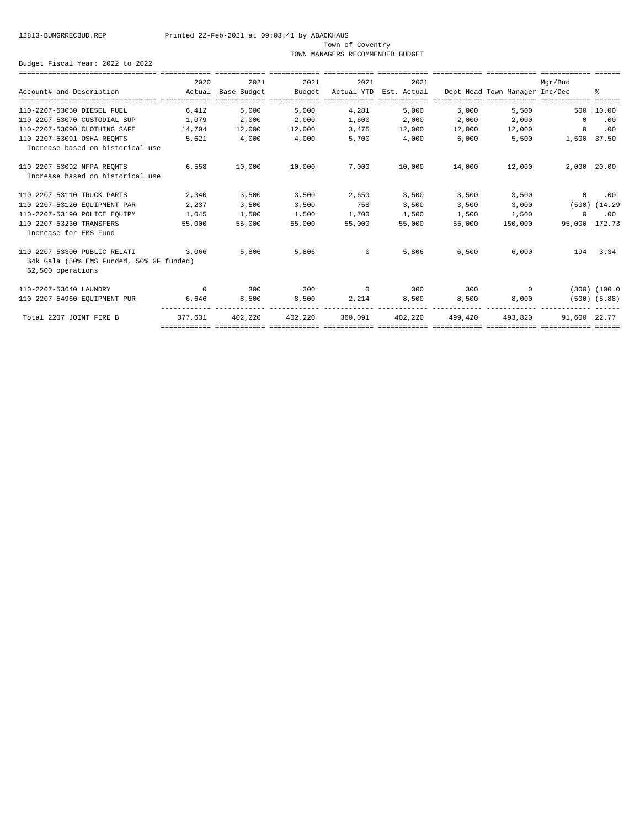Town of Coventry

TOWN MANAGERS RECOMMENDED BUDGET

|                                                   | 2020     | 2021        | 2021                                                                                                             | 2021     | 2021                   |         |                                | Mgr/Bud       |                   |
|---------------------------------------------------|----------|-------------|------------------------------------------------------------------------------------------------------------------|----------|------------------------|---------|--------------------------------|---------------|-------------------|
| Account# and Description                          | Actual   | Base Budget | Budget                                                                                                           |          | Actual YTD Est. Actual |         | Dept Head Town Manager Inc/Dec |               | ႜ                 |
|                                                   |          |             |                                                                                                                  |          |                        |         |                                |               |                   |
| 110-2207-53050 DIESEL FUEL                        | 6,412    | 5,000       | 5,000                                                                                                            | 4,281    | 5,000                  | 5,000   | 5,500                          |               | 500 10.00         |
| 110-2207-53070 CUSTODIAL SUP                      | 1,079    | 2,000       | 2,000                                                                                                            | 1,600    | 2,000                  | 2,000   | 2,000                          | $\mathbf{0}$  | .00               |
| 110-2207-53090 CLOTHING SAFE                      | 14,704   | 12,000      | 12,000                                                                                                           | 3,475    | 12,000                 | 12,000  | 12,000                         | $\circ$       | .00               |
| 110-2207-53091 OSHA REOMTS                        | 5,621    | 4,000       | 4,000                                                                                                            | 5,700    | 4,000                  | 6,000   | 5,500                          | 1,500 37.50   |                   |
| Increase based on historical use                  |          |             |                                                                                                                  |          |                        |         |                                |               |                   |
| 110-2207-53092 NFPA REOMTS                        | 6,558    | 10,000      | 10,000                                                                                                           | 7,000    | 10,000                 | 14,000  | 12,000                         | 2,000 20.00   |                   |
| Increase based on historical use                  |          |             |                                                                                                                  |          |                        |         |                                |               |                   |
| 110-2207-53110 TRUCK PARTS                        | 2,340    | 3,500       | 3,500                                                                                                            | 2,650    | 3,500                  | 3,500   | 3,500                          | $\circ$       | .00               |
| 110-2207-53120 EQUIPMENT PAR                      | 2,237    | 3,500       | 3,500                                                                                                            | 758      | 3,500                  | 3,500   | 3,000                          |               | $(500)$ $(14.29)$ |
| 110-2207-53190 POLICE EQUIPM                      | 1,045    | 1,500       | 1,500                                                                                                            | 1,700    | 1,500                  | 1,500   | 1,500                          | $\Omega$      | .00               |
| 110-2207-53230 TRANSFERS<br>Increase for EMS Fund | 55,000   | 55,000      | 55,000                                                                                                           | 55,000   | 55,000                 | 55,000  | 150,000                        | 95,000 172.73 |                   |
| 110-2207-53300 PUBLIC RELATI                      | 3,066    | 5,806       | 5,806                                                                                                            | $\sim$ 0 | 5,806                  | 6,500   | 6,000                          | 194           | 3.34              |
| \$4k Gala (50% EMS Funded, 50% GF funded)         |          |             |                                                                                                                  |          |                        |         |                                |               |                   |
| \$2,500 operations                                |          |             |                                                                                                                  |          |                        |         |                                |               |                   |
| 110-2207-53640 LAUNDRY                            | $\Omega$ | 300         | 300                                                                                                              | $\sim$ 0 | 300                    | 300     | $\Omega$                       |               | $(300)$ $(100.0$  |
| 110-2207-54960 EQUIPMENT PUR                      | 6,646    | 8,500       | 8,500                                                                                                            | 2,214    | 8,500                  | 8,500   | 8,000                          |               | $(500)$ $(5.88)$  |
| Total 2207 JOINT FIRE B                           | 377,631  | 402,220     | 402,220<br>acacacacaca acacacacaca acacacacaca acacacacaca acacacacaca acacacacaca acacacacaca acacacacaca acaca | 360,091  | 402,220                | 499,420 | 493,820                        | 91,600 22.77  |                   |
|                                                   |          |             |                                                                                                                  |          |                        |         |                                |               |                   |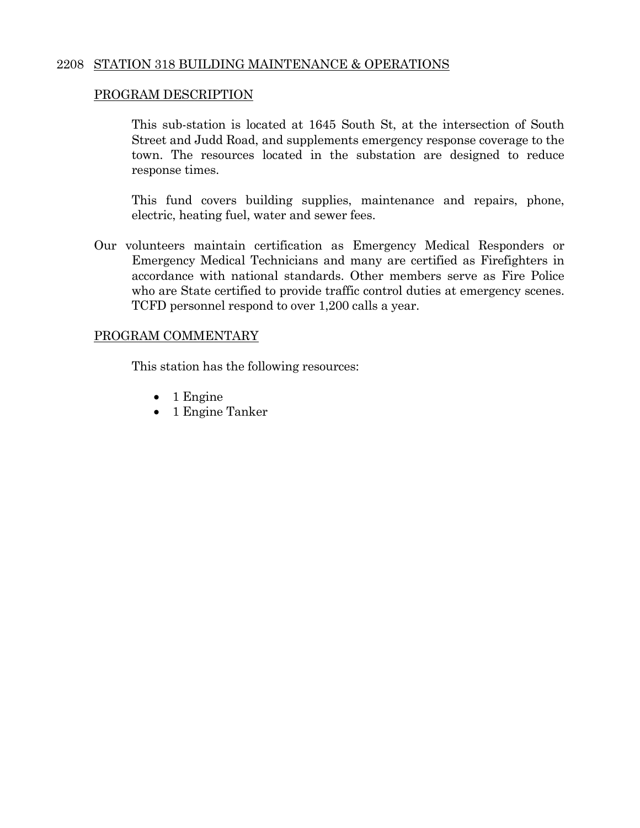### 2208 STATION 318 BUILDING MAINTENANCE & OPERATIONS

### PROGRAM DESCRIPTION

 This sub-station is located at 1645 South St, at the intersection of South Street and Judd Road, and supplements emergency response coverage to the town. The resources located in the substation are designed to reduce response times.

 This fund covers building supplies, maintenance and repairs, phone, electric, heating fuel, water and sewer fees.

Our volunteers maintain certification as Emergency Medical Responders or Emergency Medical Technicians and many are certified as Firefighters in accordance with national standards. Other members serve as Fire Police who are State certified to provide traffic control duties at emergency scenes. TCFD personnel respond to over 1,200 calls a year.

#### PROGRAM COMMENTARY

This station has the following resources:

- $\bullet$  1 Engine
- 1 Engine Tanker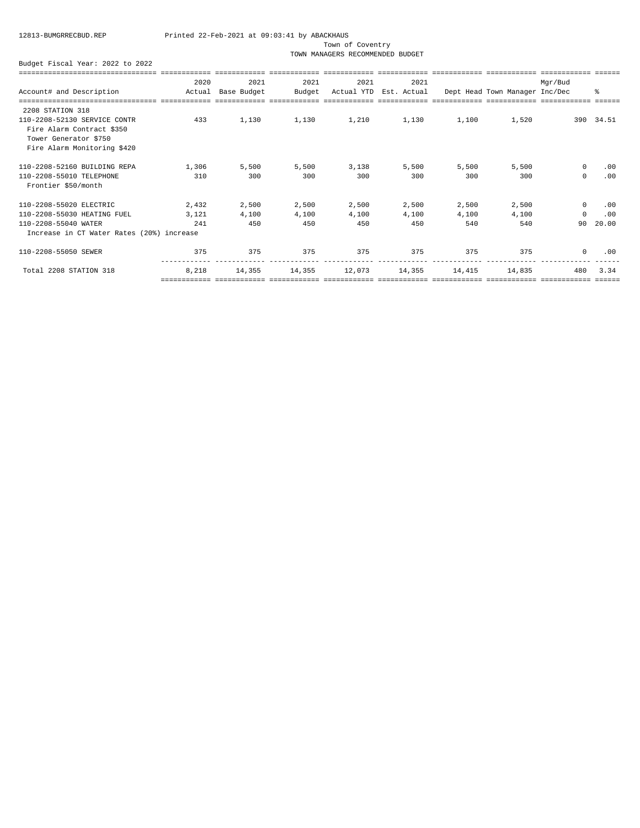Town of Coventry

TOWN MANAGERS RECOMMENDED BUDGET

|                                                                                                                   | 2020   | 2021        | 2021   | 2021   | 2021                   |        |                                | Mqr/Bud     |           |
|-------------------------------------------------------------------------------------------------------------------|--------|-------------|--------|--------|------------------------|--------|--------------------------------|-------------|-----------|
| Account# and Description                                                                                          | Actual | Base Budget | Budget |        | Actual YTD Est. Actual |        | Dept Head Town Manager Inc/Dec |             | 昙         |
| 2208 STATION 318                                                                                                  |        |             |        |        |                        |        |                                |             |           |
| 110-2208-52130 SERVICE CONTR<br>Fire Alarm Contract \$350<br>Tower Generator \$750<br>Fire Alarm Monitoring \$420 | 433    | 1,130       | 1,130  | 1,210  | 1,130                  | 1,100  | 1,520                          |             | 390 34.51 |
| 110-2208-52160 BUILDING REPA                                                                                      | 1,306  | 5,500       | 5,500  | 3,138  | 5,500                  | 5.500  | 5,500                          | $^{\circ}$  | .00       |
| 110-2208-55010 TELEPHONE<br>Frontier \$50/month                                                                   | 310    | 300         | 300    | 300    | 300                    | 300    | 300                            | $\mathbf 0$ | .00       |
| 110-2208-55020 ELECTRIC                                                                                           | 2,432  | 2,500       | 2,500  | 2,500  | 2,500                  | 2,500  | 2,500                          | $\Omega$    | .00       |
| 110-2208-55030 HEATING FUEL                                                                                       | 3,121  | 4,100       | 4,100  | 4,100  | 4,100                  | 4,100  | 4,100                          | $\Omega$    | .00       |
| 110-2208-55040 WATER                                                                                              | 241    | 450         | 450    | 450    | 450                    | 540    | 540                            | 90          | 20.00     |
| Increase in CT Water Rates (20%) increase                                                                         |        |             |        |        |                        |        |                                |             |           |
| 110-2208-55050 SEWER                                                                                              | 375    | 375         | 375    | 375    | 375                    | 375    | 375                            | $\mathbf 0$ | .00       |
| Total 2208 STATION 318                                                                                            | 8,218  | 14,355      | 14,355 | 12,073 | 14,355                 | 14,415 | 14,835                         | 480         | 3.34      |
|                                                                                                                   |        |             |        |        |                        |        |                                |             |           |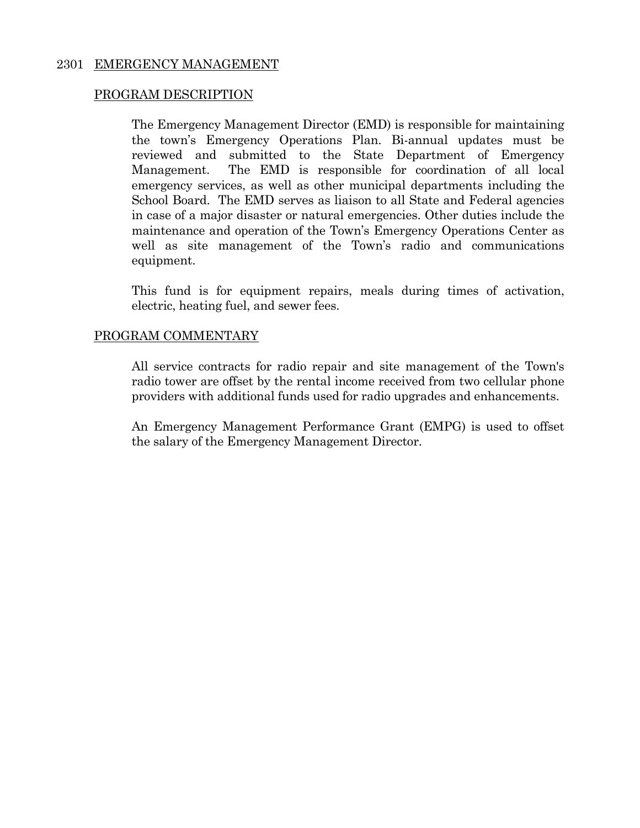### 2301 EMERGENCY MANAGEMENT

#### PROGRAM DESCRIPTION

 The Emergency Management Director (EMD) is responsible for maintaining the town's Emergency Operations Plan. Bi-annual updates must be reviewed and submitted to the State Department of Emergency Management. The EMD is responsible for coordination of all local emergency services, as well as other municipal departments including the School Board. The EMD serves as liaison to all State and Federal agencies in case of a major disaster or natural emergencies. Other duties include the maintenance and operation of the Town's Emergency Operations Center as well as site management of the Town's radio and communications equipment.

 This fund is for equipment repairs, meals during times of activation, electric, heating fuel, and sewer fees.

#### PROGRAM COMMENTARY

 All service contracts for radio repair and site management of the Town's radio tower are offset by the rental income received from two cellular phone providers with additional funds used for radio upgrades and enhancements.

 An Emergency Management Performance Grant (EMPG) is used to offset the salary of the Emergency Management Director.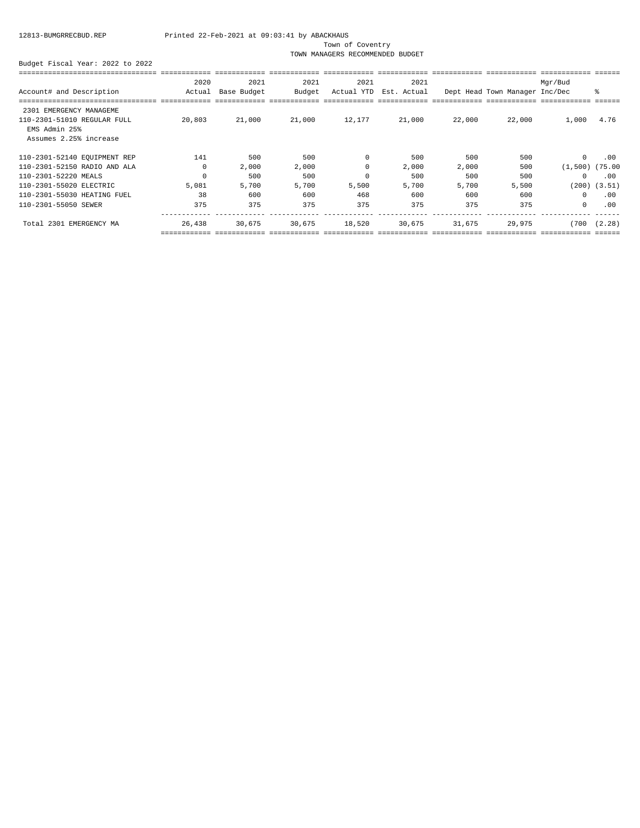Town of Coventry

TOWN MANAGERS RECOMMENDED BUDGET

|                              | 2020     | 2021        | 2021   | 2021       | 2021        |        |                                | Mqr/Bud             |                  |
|------------------------------|----------|-------------|--------|------------|-------------|--------|--------------------------------|---------------------|------------------|
| Account# and Description     | Actual   | Base Budget | Budget | Actual YTD | Est. Actual |        | Dept Head Town Manager Inc/Dec |                     | ႜ                |
|                              |          |             |        |            |             |        |                                |                     |                  |
| 2301 EMERGENCY MANAGEME      |          |             |        |            |             |        |                                |                     |                  |
| 110-2301-51010 REGULAR FULL  | 20,803   | 21,000      | 21,000 | 12,177     | 21,000      | 22,000 | 22,000                         | 1,000               | 4.76             |
| EMS Admin 25%                |          |             |        |            |             |        |                                |                     |                  |
| Assumes 2.25% increase       |          |             |        |            |             |        |                                |                     |                  |
| 110-2301-52140 EQUIPMENT REP | 141      | 500         | 500    | $\Omega$   | 500         | 500    | 500                            | $\mathbf 0$         | .00              |
| 110-2301-52150 RADIO AND ALA | $\Omega$ | 2,000       | 2,000  | $\Omega$   | 2,000       | 2,000  | 500                            | $(1,500)$ $(75.00)$ |                  |
| 110-2301-52220 MEALS         | $\Omega$ | 500         | 500    |            | 500         | 500    | 500                            | $\circ$             | .00              |
| 110-2301-55020 ELECTRIC      | 5,081    | 5,700       | 5,700  | 5,500      | 5,700       | 5,700  | 5,500                          |                     | $(200)$ $(3.51)$ |
| 110-2301-55030 HEATING FUEL  | 38       | 600         | 600    | 468        | 600         | 600    | 600                            | $^{\circ}$          | .00              |
| 110-2301-55050 SEWER         | 375      | 375         | 375    | 375        | 375         | 375    | 375                            | $\circ$             | .00              |
| Total 2301 EMERGENCY MA      | 26,438   | 30,675      | 30,675 | 18,520     | 30,675      | 31,675 | 29,975                         | (700)               | (2.28)           |
|                              |          |             |        |            |             |        |                                |                     |                  |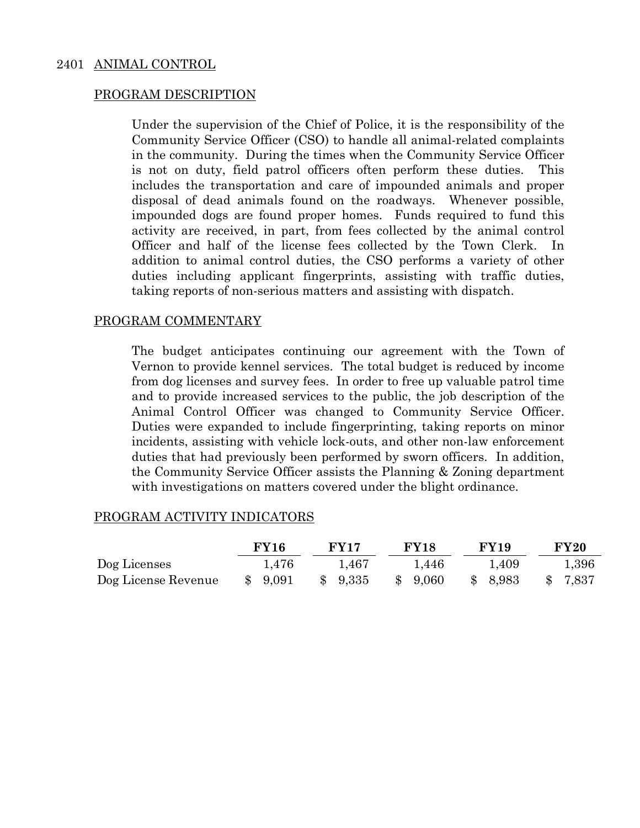#### 2401 ANIMAL CONTROL

#### PROGRAM DESCRIPTION

Under the supervision of the Chief of Police, it is the responsibility of the Community Service Officer (CSO) to handle all animal-related complaints in the community. During the times when the Community Service Officer is not on duty, field patrol officers often perform these duties. This includes the transportation and care of impounded animals and proper disposal of dead animals found on the roadways. Whenever possible, impounded dogs are found proper homes. Funds required to fund this activity are received, in part, from fees collected by the animal control Officer and half of the license fees collected by the Town Clerk. addition to animal control duties, the CSO performs a variety of other duties including applicant fingerprints, assisting with traffic duties, taking reports of non-serious matters and assisting with dispatch.

#### PROGRAM COMMENTARY

The budget anticipates continuing our agreement with the Town of Vernon to provide kennel services. The total budget is reduced by income from dog licenses and survey fees. In order to free up valuable patrol time and to provide increased services to the public, the job description of the Animal Control Officer was changed to Community Service Officer. Duties were expanded to include fingerprinting, taking reports on minor incidents, assisting with vehicle lock-outs, and other non-law enforcement duties that had previously been performed by sworn officers. In addition, the Community Service Officer assists the Planning & Zoning department with investigations on matters covered under the blight ordinance.

|                     | <b>FY16</b> | <b>FY17</b> | <b>FY18</b> | <b>FY19</b>           | <b>FY20</b> |
|---------------------|-------------|-------------|-------------|-----------------------|-------------|
| Dog Licenses        | 1.476       | 1.467       | 1.446       | 1.409                 | 1,396       |
| Dog License Revenue | \$9,091     | \$9,335     | \$9,060     | 8,983<br>$\mathbb{S}$ | 7,837       |

#### PROGRAM ACTIVITY INDICATORS